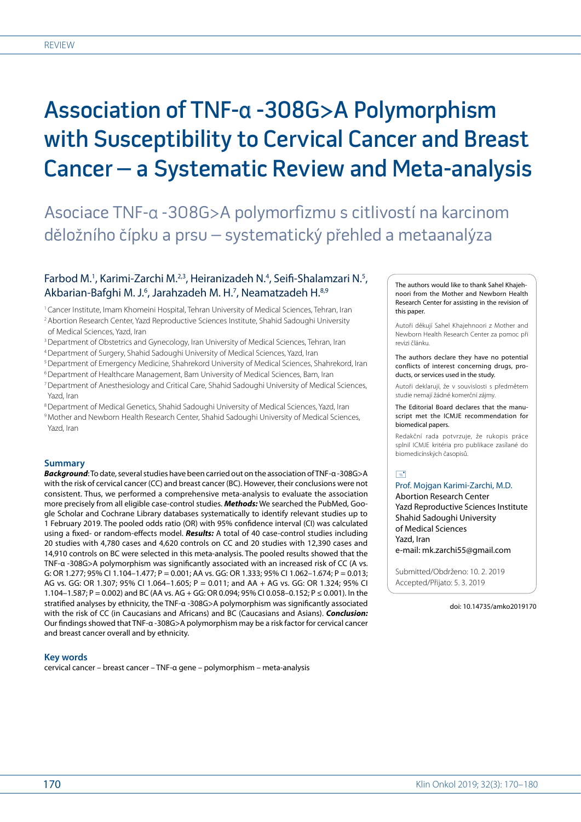# Association of TNF-α -308G>A Polymorphism with Susceptibility to Cervical Cancer and Breast Cancer – a Systematic Review and Meta-analysis

Asociace TNF-α -308G>A polymorfizmu s citlivostí na karcinom děložního čípku a prsu – systematický přehled a metaanalýza

# Farbod M.<sup>1</sup>, Karimi-Zarchi M.<sup>2,3</sup>, Heiranizadeh N.<sup>4</sup>, Seifi-Shalamzari N.<sup>5</sup>, Akbarian-Bafghi M. J.<sup>6</sup>, Jarahzadeh M. H.<sup>7</sup>, Neamatzadeh H.<sup>8,9</sup>

<sup>1</sup> Cancer Institute, Imam Khomeini Hospital, Tehran University of Medical Sciences, Tehran, Iran

- 2Abortion Research Center, Yazd Reproductive Sciences Institute, Shahid Sadoughi University of Medical Sciences, Yazd, Iran
- <sup>3</sup> Department of Obstetrics and Gynecology, Iran University of Medical Sciences, Tehran, Iran
- 4Department of Surgery, Shahid Sadoughi University of Medical Sciences, Yazd, Iran
- 5Department of Emergency Medicine, Shahrekord University of Medical Sciences, Shahrekord, Iran
- 6Department of Healthcare Management, Bam University of Medical Sciences, Bam, Iran
- 7Department of Anesthesiology and Critical Care, Shahid Sadoughi University of Medical Sciences, Yazd, Iran
- 8 Department of Medical Genetics, Shahid Sadoughi University of Medical Sciences, Yazd, Iran
- 9Mother and Newborn Health Research Center, Shahid Sadoughi University of Medical Sciences, Yazd, Iran

## **Summary**

*Background*: To date, several studies have been carried out on the association of TNF-α -308G>A with the risk of cervical cancer (CC) and breast cancer (BC). However, their conclusions were not consistent. Thus, we performed a comprehensive meta-analysis to evaluate the association more precisely from all eligible case-control studies. *Methods:* We searched the PubMed, Google Scholar and Cochrane Library databases systematically to identify relevant studies up to 1 February 2019. The pooled odds ratio (OR) with 95% confidence interval (CI) was calculated using a fixed- or random-effects model. *Results:* A total of 40 case-control studies including 20 studies with 4,780 cases and 4,620 controls on CC and 20 studies with 12,390 cases and 14,910 controls on BC were selected in this meta-analysis. The pooled results showed that the TNF-α -308G>A polymorphism was significantly associated with an increased risk of CC (A vs. G: OR 1.277; 95% CI 1.104–1.477; P = 0.001; AA vs. GG: OR 1.333; 95% CI 1.062–1.674; P = 0.013; AG vs. GG: OR 1.307; 95% CI 1.064–1.605; P = 0.011; and AA + AG vs. GG: OR 1.324; 95% CI 1.104–1.587; P = 0.002) and BC (AA vs. AG + GG: OR 0.094; 95% CI 0.058–0.152; P ≤ 0.001). In the stratified analyses by ethnicity, the TNF-α -308G>A polymorphism was significantly associated with the risk of CC (in Caucasians and Africans) and BC (Caucasians and Asians). *Conclusion:*  Our findings showed that TNF-α -308G>A polymorphism may be a risk factor for cervical cancer and breast cancer overall and by ethnicity.

## **Key words**

cervical cancer – breast cancer – TNF-α gene – polymorphism – meta-analysis

The authors would like to thank Sahel Khajehnoori from the Mother and Newborn Health Research Center for assisting in the revision of this paper.

Autoři děkují Sahel Khajehnoori z Mother and Newborn Health Research Center za pomoc při revizi článku.

The authors declare they have no potential conflicts of interest concerning drugs, products, or services used in the study.

Autoři deklarují, že v souvislosti s předmětem studie nemají žádné komerční zájmy.

The Editorial Board declares that the manuscript met the ICMJE recommendation for biomedical papers.

Redakční rada potvrzuje, že rukopis práce splnil ICMJE kritéria pro publikace zasílané do biomedicínských časopisů.

# $\Box$

Prof. Mojgan Karimi-Zarchi, M.D. Abortion Research Center Yazd Reproductive Sciences Institute Shahid Sadoughi University of Medical Sciences Yazd, Iran e-mail: mk.zarchi55@gmail.com

Submitted/Obdrženo: 10. 2. 2019 Accepted/Přijato: 5. 3. 2019

doi: 10.14735/amko2019170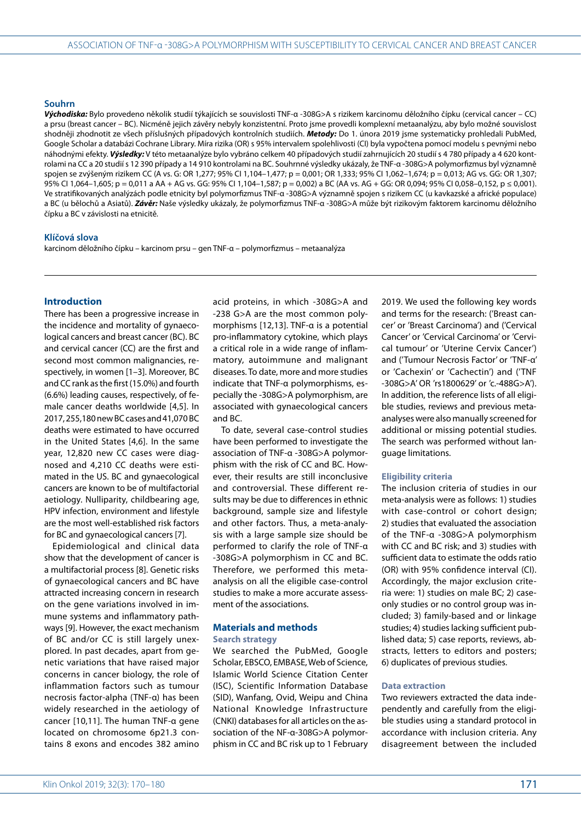## **Souhrn**

*Východiska:* Bylo provedeno několik studií týkajících se souvislosti TNF-α -308G>A s rizikem karcinomu děložního čípku (cervical cancer – CC) a prsu (breast cancer – BC). Nicméně jejich závěry nebyly konzistentní. Proto jsme provedli komplexní metaanalýzu, aby bylo možné souvislost shodněji zhodnotit ze všech příslušných případových kontrolních studiích. *Metody:* Do 1. února 2019 jsme systematicky prohledali PubMed, Google Scholar a databázi Cochrane Library. Míra rizika (OR) s 95% intervalem spolehlivosti (CI) byla vypočtena pomocí modelu s pevnými nebo náhodnými efekty. *Výsledky:* V této metaanalýze bylo vybráno celkem 40 případových studií zahrnujících 20 studií s 4 780 případy a 4 620 kontrolami na CC a 20 studií s 12 390 případy a 14 910 kontrolami na BC. Souhrnné výsledky ukázaly, že TNF-α -308G>A polymorfizmus byl významně spojen se zvýšeným rizikem CC (A vs. G: OR 1,277; 95% CI 1,104–1,477; p = 0,001; OR 1,333; 95% CI 1,062–1,674; p = 0,013; AG vs. GG: OR 1,307; 95% CI 1,064-1,605; p = 0,011 a AA + AG vs. GG: 95% CI 1,104-1,587; p = 0,002) a BC (AA vs. AG + GG: OR 0,094; 95% CI 0,058-0,152, p ≤ 0,001). Ve stratifikovaných analýzách podle etnicity byl polymorfizmus TNF-α -308G>A významně spojen s rizikem CC (u kavkazské a africké populace) a BC (u bělochů a Asiatů). *Závěr:* Naše výsledky ukázaly, že polymorfizmus TNF-α -308G>A může být rizikovým faktorem karcinomu děložního čípku a BC v závislosti na etnicitě.

#### **Klíčová slova**

karcinom děložního čípku – karcinom prsu – gen TNF-α – polymorfizmus – metaanalýza

#### **Introduction**

There has been a progressive increase in the incidence and mortality of gynaecological cancers and breast cancer (BC). BC and cervical cancer (CC) are the first and second most common malignancies, respectively, in women [1–3]. Moreover, BC and CC rank as the first (15.0%) and fourth (6.6%) leading causes, respectively, of female cancer deaths worldwide [4,5]. In 2017, 255,180 new BC cases and 41,070 BC deaths were estimated to have occurred in the United States [4,6]. In the same year, 12,820 new CC cases were diagnosed and 4,210 CC deaths were estimated in the US. BC and gynaecological cancers are known to be of multifactorial aetiology. Nulliparity, childbearing age, HPV infection, environment and lifestyle are the most well-established risk factors for BC and gynaecological cancers [7].

Epidemiological and clinical data show that the development of cancer is a multifactorial process [8]. Genetic risks of gynaecological cancers and BC have attracted increasing concern in research on the gene variations involved in immune systems and inflammatory pathways [9]. However, the exact mechanism of BC and/or CC is still largely unexplored. In past decades, apart from genetic variations that have raised major concerns in cancer biology, the role of inflammation factors such as tumour necrosis factor-alpha (TNF-α) has been widely researched in the aetiology of cancer [10,11]. The human TNF-α gene located on chromosome 6p21.3 contains 8 exons and encodes 382 amino

acid proteins, in which -308G>A and -238 G>A are the most common polymorphisms [12,13]. TNF-α is a potential pro-inflammatory cytokine, which plays a critical role in a wide range of inflammatory, autoimmune and malignant diseases. To date, more and more studies indicate that TNF-α polymorphisms, especially the -308G>A polymorphism, are associated with gynaecological cancers and BC.

To date, several case-control studies have been performed to investigate the association of TNF-α -308G>A polymorphism with the risk of CC and BC. However, their results are still inconclusive and controversial. These different results may be due to differences in ethnic background, sample size and lifestyle and other factors. Thus, a meta-analysis with a large sample size should be performed to clarify the role of TNF-α -308G>A polymorphism in CC and BC. Therefore, we performed this metaanalysis on all the eligible case-control studies to make a more accurate assessment of the associations.

# **Materials and methods**

#### **Search strategy**

We searched the PubMed, Google Scholar, EBSCO, EMBASE, Web of Science, Islamic World Science Citation Center (ISC), Scientific Information Database (SID), Wanfang, Ovid, Weipu and China National Knowledge Infrastructure (CNKI) databases for all articles on the association of the NF-α-308G>A polymorphism in CC and BC risk up to 1 February

2019. We used the following key words and terms for the research: ('Breast cancer' or 'Breast Carcinoma') and ('Cervical Cancer' or 'Cervical Carcinoma' or 'Cervical tumour' or 'Uterine Cervix Cancer') and ('Tumour Necrosis Factor' or 'TNF-α' or 'Cachexin' or 'Cachectin') and ('TNF -308G>A' OR 'rs1800629' or 'c.-488G>A'). In addition, the reference lists of all eligible studies, reviews and previous metaanalyses were also manually screened for additional or missing potential studies. The search was performed without language limitations.

#### **Eligibility criteria**

The inclusion criteria of studies in our meta-analysis were as follows: 1) studies with case-control or cohort design; 2) studies that evaluated the association of the TNF-α -308G>A polymorphism with CC and BC risk; and 3) studies with sufficient data to estimate the odds ratio (OR) with 95% confidence interval (CI). Accordingly, the major exclusion criteria were: 1) studies on male BC; 2) caseonly studies or no control group was included; 3) family-based and or linkage studies; 4) studies lacking sufficient published data; 5) case reports, reviews, abstracts, letters to editors and posters; 6) duplicates of previous studies.

#### **Data extraction**

Two reviewers extracted the data independently and carefully from the eligible studies using a standard protocol in accordance with inclusion criteria. Any disagreement between the included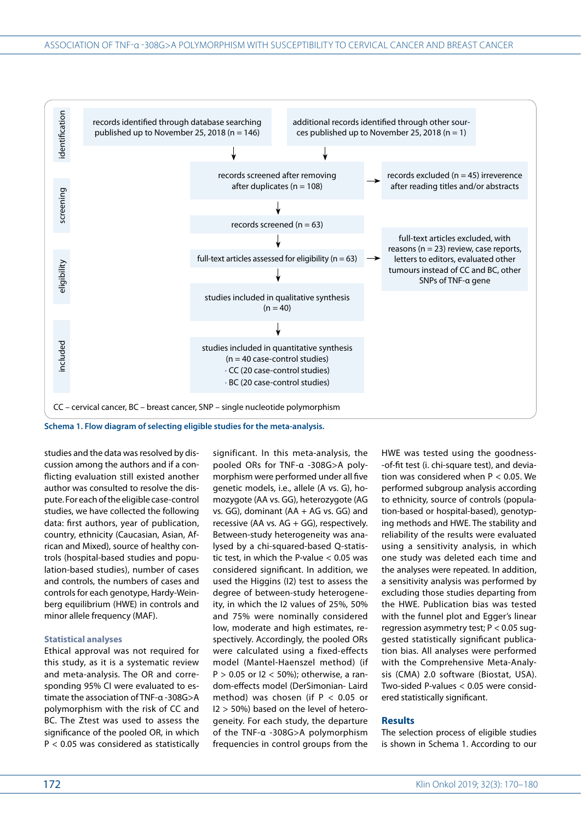

studies and the data was resolved by discussion among the authors and if a conflicting evaluation still existed another author was consulted to resolve the dispute. For each of the eligible case-control studies, we have collected the following data: first authors, year of publication, country, ethnicity (Caucasian, Asian, African and Mixed), source of healthy controls (hospital-based studies and population-based studies), number of cases and controls, the numbers of cases and controls for each genotype, Hardy-Weinberg equilibrium (HWE) in controls and minor allele frequency (MAF).

#### **Statistical analyses**

Ethical approval was not required for this study, as it is a systematic review and meta-analysis. The OR and corresponding 95% CI were evaluated to estimate the association of TNF-α -308G>A polymorphism with the risk of CC and BC. The Ztest was used to assess the significance of the pooled OR, in which P < 0.05 was considered as statistically

significant. In this meta-analysis, the pooled ORs for TNF-α -308G>A polymorphism were performed under all five genetic models, i.e., allele (A vs. G), homozygote (AA vs. GG), heterozygote (AG vs. GG), dominant (AA + AG vs. GG) and recessive (AA vs.  $AG + GG$ ), respectively. Between-study heterogeneity was analysed by a chi-squared-based Q-statistic test, in which the P-value  $< 0.05$  was considered significant. In addition, we used the Higgins (I2) test to assess the degree of between-study heterogeneity, in which the I2 values of 25%, 50% and 75% were nominally considered low, moderate and high estimates, respectively. Accordingly, the pooled ORs were calculated using a fixed-effects model (Mantel-Haenszel method) (if  $P > 0.05$  or  $12 < 50\%$ ); otherwise, a random-effects model (DerSimonian- Laird method) was chosen (if  $P < 0.05$  or I2 > 50%) based on the level of heterogeneity. For each study, the departure of the TNF-α -308G>A polymorphism frequencies in control groups from the

HWE was tested using the goodness- -of-fit test (i. chi-square test), and deviation was considered when P < 0.05. We performed subgroup analysis according to ethnicity, source of controls (population-based or hospital-based), genotyping methods and HWE. The stability and reliability of the results were evaluated using a sensitivity analysis, in which one study was deleted each time and the analyses were repeated. In addition, a sensitivity analysis was performed by excluding those studies departing from the HWE. Publication bias was tested with the funnel plot and Egger's linear regression asymmetry test; P < 0.05 suggested statistically significant publication bias. All analyses were performed with the Comprehensive Meta-Analysis (CMA) 2.0 software (Biostat, USA). Two-sided P-values < 0.05 were considered statistically significant.

### **Results**

The selection process of eligible studies is shown in Schema 1. According to our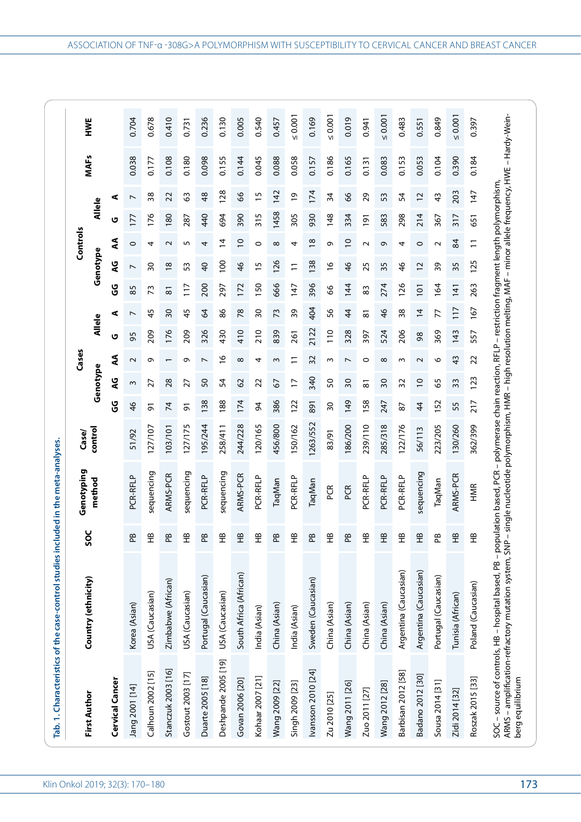| <b>First Author</b> | Country (ethnicity)    | v<br>င္တ           |            |          |                 |                          |                          |                |                          |                |                  |                |                       |             |  |
|---------------------|------------------------|--------------------|------------|----------|-----------------|--------------------------|--------------------------|----------------|--------------------------|----------------|------------------|----------------|-----------------------|-------------|--|
|                     |                        |                    | method     | control  |                 | Genotype                 |                          | <b>Allele</b>  |                          |                | Genotype         |                | <b>Allele</b>         | <b>MAFs</b> |  |
| Cervical Cancer     |                        |                    |            |          | უ<br>ს          | <b>U</b>                 | ₹                        | U              | ⋖                        | უ<br>ს         | <b>U</b>         | ₹              | ⋖<br>ט                |             |  |
| Jang 2001 [14]      | Korea (Asian)          | $\mathbf{g}$       | PCR-RFLP   | 51/92    | 46              | $\sim$                   | $\sim$                   | 56             | $\overline{\phantom{0}}$ | 85             | L                | $\circ$        | $\overline{ }$<br>177 | 0.038       |  |
| Calhoun 2002 [15]   | USA (Caucasian)        | 운                  | sequencing | 27/107   | 5               | 27                       | ᡡ                        | 209            | 45                       | 73             | 30               | 4              | 38<br>176             | 0.177       |  |
| Stanczuk 2003 [16]  | Zimbabwe (African)     | $\mathbf{B}$       | ARMS-PCR   | 103/101  | $\overline{7}$  | 28                       |                          | 176            | $\overline{\mathrm{30}}$ | $\overline{8}$ | $\frac{8}{2}$    | $\sim$         | 22<br>180             | 0.108       |  |
| Gostout 2003 [17]   | USA (Caucasian)        | 운                  | sequencing | 127/175  | $\overline{5}$  | 27                       | Ō                        | 209            | 45                       | 117<br>11      | 53               | 5              | 3<br>287              | 0.180       |  |
| Duarte 2005 [18]    | Portugal (Caucasian)   | ΡB                 | PCR-RFLP   | 195/244  | 138             | SO                       | $\overline{ }$           | 326            | 3                        | 200            | $\overline{4}$   | 4              | 48<br>440             | 0.098       |  |
| Deshpande 2005 [19] | USA (Caucasian)        | 운                  | sequencing | 258/411  | 188             | 54                       | $\tilde{e}$              | 430            | 86                       | 297            | $\overline{100}$ | $\overline{4}$ | 128<br>694            | 0.155       |  |
| Govan 2006 [20]     | South Africa (African) | $\hat{\mathbf{H}}$ | ARMS-PCR   | 244/228  | 174             | 2                        | ${}^{\circ}$             | 410            | $\overline{78}$          | 172            | $\frac{4}{6}$    | $\overline{0}$ | 89<br>390             | 0.144       |  |
| Kohaar 2007 [21]    | India (Asian)          | 운                  | PCR-RFLP   | 120/165  | 94              | 22                       | 4                        | 210            | 30                       | 150            | 15               | 0              | 15<br>315             | 0.045       |  |
| Wang 2009 [22]      | China (Asian)          | $\mathbf{g}$       | TaqMan     | 456/800  | 386             | 5                        | ω                        | 839            | 73                       | 666            | 126              | $^{\circ}$     | 142<br>1458           | 0.088       |  |
| Singh 2009 [23]     | India (Asian)          | 운                  | PCR-RFLP   | 150/162  | 122             | 17                       |                          | 261            | 39                       | 147            | $\Xi$            | 4              | $\overline{0}$<br>305 | 0.058       |  |
| Ivansson 2010 [24]  | Sweden (Caucasian)     | $\mathbf{g}$       | TaqMan     | 1263/552 | 891             | 340                      | 32                       | 2122           | 404                      | 396            | 138              | $\frac{8}{2}$  | 174<br>930            | 0.157       |  |
| Zu 2010 [25]        | China (Asian)          | 운                  | PCR<br>P   | 83/91    | $\overline{30}$ | SO                       | S                        | $\frac{0}{10}$ | 95                       | 89             | $\frac{8}{1}$    | Ō              | 34<br>148             | 0.186       |  |
| Wang 2011 [26]      | China (Asian)          | $\mathbf{E}$       | PCR        | 186/200  | 149             | 30                       | $\overline{\phantom{0}}$ | 328            | 4                        | 144            | $\frac{4}{6}$    | $\overline{0}$ | 8<br>334              | 0.165       |  |
| Zuo 2011 [27]       | China (Asian)          | 운                  | PCR-RFLP   | 239/110  | 58              | 81                       | 0                        | 397            | 5                        | 83             | 25               | $\sim$         | 29<br>191             | 0.131       |  |
| Wang 2012 [28]      | China (Asian)          | $\hat{\mathbf{H}}$ | PCR-RFLP   | 285/318  | 247             | $\overline{\mathbf{50}}$ | $\infty$                 | 524            | $\frac{4}{6}$            | 274            | 35               | Ō              | 53<br>583             | 0.083       |  |
| Barbisan 2012 [58]  | Argentina (Caucasian)  | 운                  | PCR-RFLP   | 122/176  | 87              | 32                       | ω                        | 206            | 38                       | 126            | $\frac{4}{6}$    | 4              | 54<br>298             | 0.153       |  |
| Badano 2012 [30]    | Argentina (Caucasian)  | $\mathfrak{X}$     | sequencing | 56/113   | 44              | $\overline{C}$           | $\sim$                   | 98             | $\overline{4}$           | 101            | $\overline{c}$   | $\circ$        | $\overline{c}$<br>214 | 0.053       |  |
| Sousa 2014 [31]     | Portugal (Caucasian)   | æ                  | TaqMan     | 223/205  | 52              | 59                       | O                        | 369            | 77                       | 164            | 39               | $\sim$         | $\frac{3}{4}$<br>367  | 0.104       |  |
| Zidi 2014 [32]      | Tunisia (African)      | $\mathfrak{X}$     | ARMS-PCR   | 130/260  | 55              | 33                       | 43                       | 143            | 117                      | 141            | 35               | 84             | 203<br>317            | 0.390       |  |
| Roszak 2015 [33]    | Poland (Caucasian)     | 운                  | HMR        | 362/399  | 217             | 123                      | 22                       | 557            | 167                      | 263            | 125              | $\Xi$          | 147<br>651            | 0.184       |  |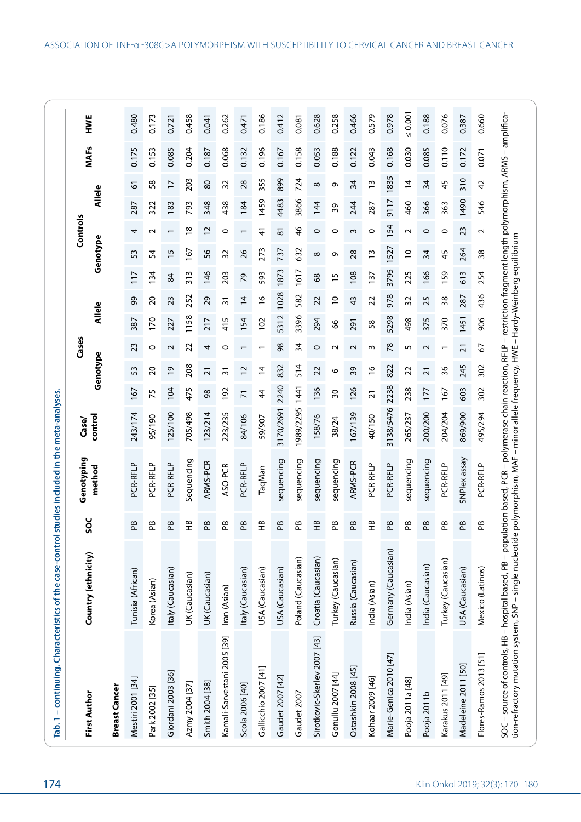| Tab. 1 - continuing. Characteristics of the case-control                                                                                                                                                                                                                                                          |                     |                    | studies included in the meta-analyses. |           |                 |                 |                          |        |                |                 |                           |                   |                 |             |              |
|-------------------------------------------------------------------------------------------------------------------------------------------------------------------------------------------------------------------------------------------------------------------------------------------------------------------|---------------------|--------------------|----------------------------------------|-----------|-----------------|-----------------|--------------------------|--------|----------------|-----------------|---------------------------|-------------------|-----------------|-------------|--------------|
|                                                                                                                                                                                                                                                                                                                   |                     |                    | Genotyping                             | Case/     |                 |                 | Cases                    |        |                |                 | Controls                  |                   |                 |             |              |
| <b>First Author</b>                                                                                                                                                                                                                                                                                               | Country (ethnicity) | SOS                | method                                 | control   |                 | Genotype        |                          | Allele |                |                 | Genotype                  |                   | <b>Allele</b>   | <b>MAFs</b> | HWE          |
| <b>Breast Cancer</b>                                                                                                                                                                                                                                                                                              |                     |                    |                                        |           |                 |                 |                          |        |                |                 |                           |                   |                 |             |              |
| Mestiri 2001 [34]                                                                                                                                                                                                                                                                                                 | Tunisia (African)   | ΡB                 | PCR-RFLP                               | 243/174   | 167             | 53              | 23                       | 387    | 99             | 117             | 4<br>53                   | 287               | 6               | 0.175       | 0.480        |
| Park 2002 [35]                                                                                                                                                                                                                                                                                                    | Korea (Asian)       | æ                  | PCR-RFLP                               | 95/190    | 75              | $\Omega$        | 0                        | 170    | 20             | 134             | $\sim$<br>54              | 322               | 58              | 0.153       | 0.173        |
| Giordani 2003 [36]                                                                                                                                                                                                                                                                                                | Italy (Caucasian)   | ΒÊ                 | PCR-RFLP                               | 125/100   | 104             | $\overline{6}$  | $\sim$                   | 227    | 23             | 84              | $\overline{1}$            | 183               | $\overline{17}$ | 0.085       | 0.721        |
| Azmy 2004 [37]                                                                                                                                                                                                                                                                                                    | UK (Caucasian)      | 운                  | Sequencing                             | 705/498   | 475             | 208             | 22                       | 1158   | 252            | $\frac{313}{2}$ | 167                       | 793<br>$^{\circ}$ | 203             | 0.204       | 0.458        |
| Smith 2004 [38]                                                                                                                                                                                                                                                                                                   | UK (Caucasian)      | æ                  | ARMS-PCR                               | 123/214   | 98              | $\overline{2}1$ | 4                        | 217    | 29             | 146             | $\overline{c}$<br>56      | 348               | $80$            | 0.187       | 0.041        |
| Kamali-Sarvestani 2005 [39]                                                                                                                                                                                                                                                                                       | Iran (Asian)        | æ                  | ASO-PCR                                | 223/235   | 92              | $\overline{31}$ | $\circ$                  | 415    | $\overline{3}$ | 203             | $\circ$<br>32             | 438               | 32              | 0.068       | 0.262        |
| Scola 2006 [40]                                                                                                                                                                                                                                                                                                   | Italy (Caucasian)   | æ                  | PCR-RFLP                               | 84/106    | $\overline{7}$  | $\overline{c}$  | $\overline{\phantom{0}}$ | 154    | $\overline{4}$ | 54              | 26                        | 184               | 28              | 0.132       | 0.471        |
| Gallicchio 2007 [41]                                                                                                                                                                                                                                                                                              | USA (Caucasian)     | 또                  | TaqMan                                 | 59/907    | 4               | $\overline{4}$  | $\overline{\phantom{0}}$ | 102    | $\frac{6}{2}$  | 593             | 41<br>273                 | 1459              | 355             | 0.196       | 0.186        |
| Gaudet 2007 [42]                                                                                                                                                                                                                                                                                                  | USA (Caucasian)     | æ                  | sequencing                             | 3170/2691 | 2240            | 832             | 8 <sup>o</sup>           | 5312   | 1028           | 1873            | $\overline{8}$<br>737     | 4483              | 899             | 0.167       | 0.412        |
| Gaudet 2007                                                                                                                                                                                                                                                                                                       | Poland (Caucasian)  | æ                  | sequencing                             | 1989/2295 | 1441            | 514             | 34                       | 3396   | 582            | 1617            | 46<br>632                 | 3866              | 724             | 0.158       | 0.081        |
| Sirotkovic-Skerlev 2007 [43]                                                                                                                                                                                                                                                                                      | Croatia (Caucasian) | $\hat{\mathbb{E}}$ | sequencing                             | 158/76    | 136             | 22              | $\circ$                  | 294    | 22             | 8 <sup>o</sup>  | $\circ$<br>$\infty$       | 144               | ${}^{\circ}$    | 0.053       | 0.628        |
| Gonullu 2007 [44]                                                                                                                                                                                                                                                                                                 | Turkey (Caucasian)  | $\mathbf{e}$       | sequencing                             | 38/24     | $\overline{50}$ | O               | $\sim$                   | 8      | $\overline{C}$ | m               | $\circ$<br>Ō              | 39                | ō               | 0.188       | 0.258        |
| Ostashkin 2008 [45]                                                                                                                                                                                                                                                                                               | Russia (Caucasian)  | æ                  | ARMS-PCR                               | 67/139    | 126             | 39              | $\sim$                   | 291    | 43             | 108             | $\sim$<br>28              | 244               | 34              | 0.122       | 0.466        |
| Kohaar 2009 [46]                                                                                                                                                                                                                                                                                                  | India (Asian)       | $\hat{H}$          | PCR-RFLP                               | 40/150    | $\overline{2}1$ | $\frac{6}{2}$   | m                        | 58     | 22             | 137             | $\circ$<br>$\tilde{1}$    | 287               | $\mathsf{w}$    | 0.043       | 0.579        |
| Marie-Genica 2010 [47]                                                                                                                                                                                                                                                                                            | Germany (Caucasian) | æ                  | PCR-RFLP                               | 3138/5476 | 2238            | 822             | 78                       | 5298   | 978            | 3795            | 154<br>527                | <b>6117</b>       | 1835            | 0.168       | 0.978        |
| Pooja 2011a [48]                                                                                                                                                                                                                                                                                                  | India (Asian)       | æ                  | sequencing                             | 265/237   | 238             | 22              | 5                        | 498    | 32             | 225             | $\sim$<br>$\overline{C}$  | 460               | $\overline{4}$  | 0.030       | $\leq 0.001$ |
| Pooja 2011b                                                                                                                                                                                                                                                                                                       | India (Caucasian)   | Æ                  | sequencing                             | 200/200   | 177             | $\overline{21}$ | $\sim$                   | 375    | 25             | 166             | $\circ$<br>34             | 366               | 34              | 0.085       | 0.188        |
| Karakus 2011 [49]                                                                                                                                                                                                                                                                                                 | Turkey (Caucasian)  | ஐ                  | PCR-RFLP                               | 204/204   | 167             | 96              | $\overline{\phantom{0}}$ | 370    | $\frac{8}{3}$  | 159             | $\circ$<br>45             | 363               | 45              | 0.110       | 0.076        |
| Madeleine 2011 [50]                                                                                                                                                                                                                                                                                               | USA (Caucasian)     | ΒÊ                 | SNPlex assay                           | 869/900   | 603             | 245             | $\overline{2}$           | 1451   | 287            | 613             | 23<br>264                 | 1490              | 310             | 0.172       | 0.387        |
| Flores-Ramos 2013 [51]                                                                                                                                                                                                                                                                                            | Mexico (Latinos)    | æ                  | PCR-RFLP                               | 495/294   | 302             | 302             | 2                        | 906    | 436            | 254             | $\sim$<br>$\overline{38}$ | 546               | 42              | 0.071       | 0.660        |
| SOC – source of controls, HB – hospital based, PB – population based, PCR – polymerase chain reaction, RFLP – restriction fragment length polymorphism, ARMS – amplifica<br>tion-refractory mutation system, SNP – single nucleotide polymorphism, MAF – minor allele frequency, HWE – Hardy-Weinberg equilibrium |                     |                    |                                        |           |                 |                 |                          |        |                |                 |                           |                   |                 |             |              |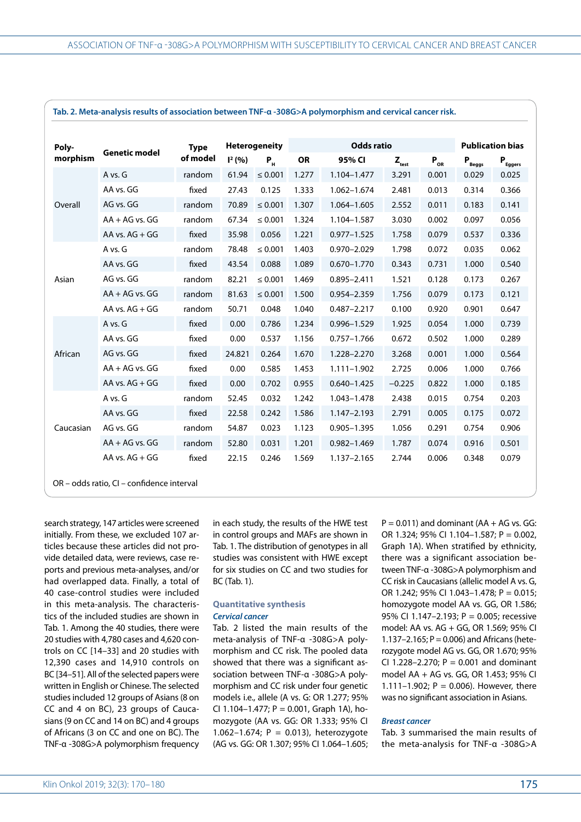| Poly-     | <b>Genetic model</b> | <b>Type</b> |           | <b>Heterogeneity</b> |       | <b>Odds ratio</b> |                   |          | <b>Publication bias</b> |              |
|-----------|----------------------|-------------|-----------|----------------------|-------|-------------------|-------------------|----------|-------------------------|--------------|
| morphism  |                      | of model    | $I^2(% )$ | $P_{\mu}$            | OR    | 95% CI            | $Z_{\text{test}}$ | $P_{OR}$ | $P_{\text{Beggs}}$      | $P_{Eggers}$ |
|           | A vs. G              | random      | 61.94     | $\leq 0.001$         | 1.277 | 1.104-1.477       | 3.291             | 0.001    | 0.029                   | 0.025        |
|           | AA vs. GG            | fixed       | 27.43     | 0.125                | 1.333 | 1.062-1.674       | 2.481             | 0.013    | 0.314                   | 0.366        |
| Overall   | AG vs. GG            | random      | 70.89     | $\leq 0.001$         | 1.307 | 1.064-1.605       | 2.552             | 0.011    | 0.183                   | 0.141        |
|           | $AA + AG$ vs. $GG$   | random      | 67.34     | $\leq 0.001$         | 1.324 | 1.104-1.587       | 3.030             | 0.002    | 0.097                   | 0.056        |
|           | AA vs. AG + GG       | fixed       | 35.98     | 0.056                | 1.221 | $0.977 - 1.525$   | 1.758             | 0.079    | 0.537                   | 0.336        |
|           | A vs. G              | random      | 78.48     | $\leq 0.001$         | 1.403 | 0.970-2.029       | 1.798             | 0.072    | 0.035                   | 0.062        |
|           | AA vs. GG            | fixed       | 43.54     | 0.088                | 1.089 | $0.670 - 1.770$   | 0.343             | 0.731    | 1.000                   | 0.540        |
| Asian     | AG vs. GG            | random      | 82.21     | $\leq 0.001$         | 1.469 | $0.895 - 2.411$   | 1.521             | 0.128    | 0.173                   | 0.267        |
|           | $AA + AG$ vs. $GG$   | random      | 81.63     | $\leq 0.001$         | 1.500 | 0.954-2.359       | 1.756             | 0.079    | 0.173                   | 0.121        |
|           | AA vs. $AG + GG$     | random      | 50.71     | 0.048                | 1.040 | $0.487 - 2.217$   | 0.100             | 0.920    | 0.901                   | 0.647        |
|           | A vs. G              | fixed       | 0.00      | 0.786                | 1.234 | $0.996 - 1.529$   | 1.925             | 0.054    | 1.000                   | 0.739        |
|           | AA vs. GG            | fixed       | 0.00      | 0.537                | 1.156 | $0.757 - 1.766$   | 0.672             | 0.502    | 1.000                   | 0.289        |
| African   | AG vs. GG            | fixed       | 24.821    | 0.264                | 1.670 | 1.228-2.270       | 3.268             | 0.001    | 1.000                   | 0.564        |
|           | $AA + AG$ vs. $GG$   | fixed       | 0.00      | 0.585                | 1.453 | $1.111 - 1.902$   | 2.725             | 0.006    | 1.000                   | 0.766        |
|           | AA vs. $AG + GG$     | fixed       | 0.00      | 0.702                | 0.955 | $0.640 - 1.425$   | $-0.225$          | 0.822    | 1.000                   | 0.185        |
|           | A vs. G              | random      | 52.45     | 0.032                | 1.242 | 1.043-1.478       | 2.438             | 0.015    | 0.754                   | 0.203        |
|           | AA vs. GG            | fixed       | 22.58     | 0.242                | 1.586 | $1.147 - 2.193$   | 2.791             | 0.005    | 0.175                   | 0.072        |
| Caucasian | AG vs. GG            | random      | 54.87     | 0.023                | 1.123 | $0.905 - 1.395$   | 1.056             | 0.291    | 0.754                   | 0.906        |
|           | $AA + AG$ vs. $GG$   | random      | 52.80     | 0.031                | 1.201 | $0.982 - 1.469$   | 1.787             | 0.074    | 0.916                   | 0.501        |
|           | AA vs. $AG + GG$     | fixed       | 22.15     | 0.246                | 1.569 | 1.137-2.165       | 2.744             | 0.006    | 0.348                   | 0.079        |

**Tab. 2. Meta-analysis results of association between TNF-α -308G>A polymorphism and cervical cancer risk.**

OR – odds ratio, CI – confidence interval

search strategy, 147 articles were screened initially. From these, we excluded 107 articles because these articles did not provide detailed data, were reviews, case reports and previous meta-analyses, and/or had overlapped data. Finally, a total of 40 case-control studies were included in this meta-analysis. The characteristics of the included studies are shown in Tab. 1. Among the 40 studies, there were 20 studies with 4,780 cases and 4,620 controls on CC [14–33] and 20 studies with 12,390 cases and 14,910 controls on BC [34–51]. All of the selected papers were written in English or Chinese. The selected studies included 12 groups of Asians (8 on CC and 4 on BC), 23 groups of Caucasians (9 on CC and 14 on BC) and 4 groups of Africans (3 on CC and one on BC). The TNF-α -308G>A polymorphism frequency

in each study, the results of the HWE test in control groups and MAFs are shown in Tab. 1. The distribution of genotypes in all studies was consistent with HWE except for six studies on CC and two studies for BC (Tab. 1).

# **Quantitative synthesis** *Cervical cancer*

Tab. 2 listed the main results of the meta-analysis of TNF-α -308G>A polymorphism and CC risk. The pooled data showed that there was a significant association between TNF-α -308G>A polymorphism and CC risk under four genetic models i.e., allele (A vs. G: OR 1.277; 95% CI 1.104-1.477;  $P = 0.001$ , Graph 1A), homozygote (AA vs. GG: OR 1.333; 95% CI 1.062-1.674;  $P = 0.013$ ), heterozygote (AG vs. GG: OR 1.307; 95% CI 1.064–1.605;  $P = 0.011$ ) and dominant (AA + AG vs. GG: OR 1.324; 95% CI 1.104–1.587; P = 0.002, Graph 1A). When stratified by ethnicity, there was a significant association between TNF-α -308G>A polymorphism and CC risk in Caucasians (allelic model A vs. G, OR 1.242; 95% CI 1.043–1.478; P = 0.015; homozygote model AA vs. GG, OR 1.586; 95% CI 1.147–2.193; P = 0.005; recessive model: AA vs. AG + GG, OR 1.569; 95% CI 1.137–2.165;  $P = 0.006$ ) and Africans (heterozygote model AG vs. GG, OR 1.670; 95% CI 1.228-2.270;  $P = 0.001$  and dominant model AA + AG vs. GG, OR 1.453; 95% CI 1.111–1.902;  $P = 0.006$ ). However, there was no significant association in Asians.

#### *Breast cancer*

Tab. 3 summarised the main results of the meta-analysis for TNF-α -308G>A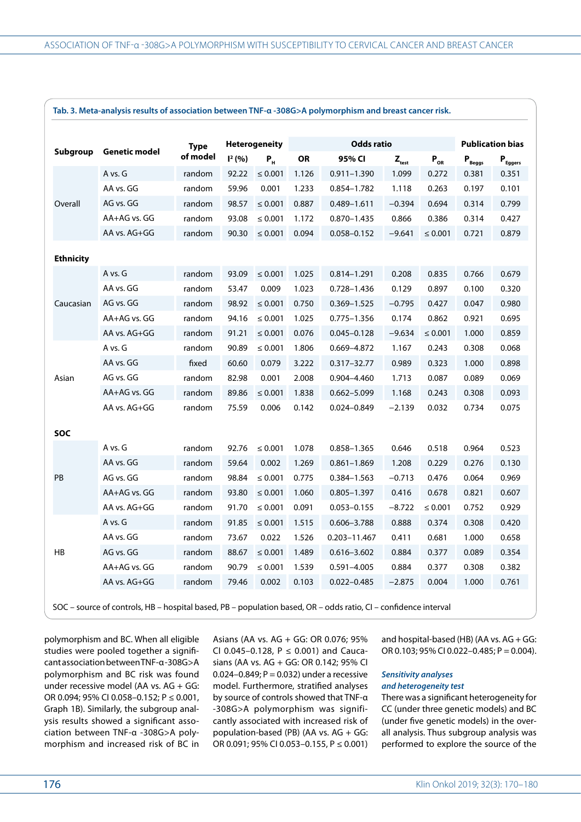|                  |                      | <b>Type</b> |                    | <b>Heterogeneity</b> |       | <b>Odds ratio</b> |                   |              | <b>Publication bias</b> |                              |
|------------------|----------------------|-------------|--------------------|----------------------|-------|-------------------|-------------------|--------------|-------------------------|------------------------------|
| Subgroup         | <b>Genetic model</b> | of model    | $\mathsf{I}^2(% )$ | $P_{H}$              | OR    | 95% CI            | $Z_{\text{test}}$ | $P_{OR}$     | $P_{\text{Beggs}}$      | $\mathbf{P}_{\text{Eggers}}$ |
|                  | A vs. G              | random      | 92.22              | $\leq 0.001$         | 1.126 | $0.911 - 1.390$   | 1.099             | 0.272        | 0.381                   | 0.351                        |
|                  | AA vs. GG            | random      | 59.96              | 0.001                | 1.233 | 0.854-1.782       | 1.118             | 0.263        | 0.197                   | 0.101                        |
| Overall          | AG vs. GG            | random      | 98.57              | $\leq 0.001$         | 0.887 | 0.489-1.611       | $-0.394$          | 0.694        | 0.314                   | 0.799                        |
|                  | AA+AG vs. GG         | random      | 93.08              | $\leq 0.001$         | 1.172 | 0.870-1.435       | 0.866             | 0.386        | 0.314                   | 0.427                        |
|                  | AA vs. AG+GG         | random      | 90.30              | $\leq 0.001$         | 0.094 | 0.058-0.152       | $-9.641$          | $\leq 0.001$ | 0.721                   | 0.879                        |
| <b>Ethnicity</b> |                      |             |                    |                      |       |                   |                   |              |                         |                              |
|                  | A vs. G              | random      | 93.09              | $\leq 0.001$         | 1.025 | $0.814 - 1.291$   | 0.208             | 0.835        | 0.766                   | 0.679                        |
|                  | AA vs. GG            | random      | 53.47              | 0.009                | 1.023 | 0.728-1.436       | 0.129             | 0.897        | 0.100                   | 0.320                        |
| Caucasian        | AG vs. GG            | random      | 98.92              | $\leq 0.001$         | 0.750 | $0.369 - 1.525$   | $-0.795$          | 0.427        | 0.047                   | 0.980                        |
|                  | AA+AG vs. GG         | random      | 94.16              | $\leq 0.001$         | 1.025 | 0.775-1.356       | 0.174             | 0.862        | 0.921                   | 0.695                        |
|                  | AA vs. AG+GG         | random      | 91.21              | $\leq 0.001$         | 0.076 | $0.045 - 0.128$   | $-9.634$          | $\leq 0.001$ | 1.000                   | 0.859                        |
|                  | A vs. G              | random      | 90.89              | $\leq 0.001$         | 1.806 | 0.669-4.872       | 1.167             | 0.243        | 0.308                   | 0.068                        |
|                  | AA vs. GG            | fixed       | 60.60              | 0.079                | 3.222 | 0.317-32.77       | 0.989             | 0.323        | 1.000                   | 0.898                        |
| Asian            | AG vs. GG            | random      | 82.98              | 0.001                | 2.008 | 0.904-4.460       | 1.713             | 0.087        | 0.089                   | 0.069                        |
|                  | AA+AG vs. GG         | random      | 89.86              | $\leq 0.001$         | 1.838 | 0.662-5.099       | 1.168             | 0.243        | 0.308                   | 0.093                        |
|                  | AA vs. AG+GG         | random      | 75.59              | 0.006                | 0.142 | 0.024-0.849       | $-2.139$          | 0.032        | 0.734                   | 0.075                        |
| SOC              |                      |             |                    |                      |       |                   |                   |              |                         |                              |
|                  | A vs. G              | random      | 92.76              | $\leq 0.001$         | 1.078 | 0.858-1.365       | 0.646             | 0.518        | 0.964                   | 0.523                        |
|                  | AA vs. GG            | random      | 59.64              | 0.002                | 1.269 | $0.861 - 1.869$   | 1.208             | 0.229        | 0.276                   | 0.130                        |
| PB               | AG vs. GG            | random      | 98.84              | $\leq 0.001$         | 0.775 | 0.384-1.563       | $-0.713$          | 0.476        | 0.064                   | 0.969                        |
|                  | AA+AG vs. GG         | random      | 93.80              | $\leq 0.001$         | 1.060 | 0.805-1.397       | 0.416             | 0.678        | 0.821                   | 0.607                        |
|                  | AA vs. AG+GG         | random      | 91.70              | $\leq 0.001$         | 0.091 | $0.053 - 0.155$   | $-8.722$          | ≤ 0.001      | 0.752                   | 0.929                        |
|                  | A vs. G              | random      | 91.85              | $\leq 0.001$         | 1.515 | $0.606 - 3.788$   | 0.888             | 0.374        | 0.308                   | 0.420                        |
|                  | AA vs. GG            | random      | 73.67              | 0.022                | 1.526 | 0.203-11.467      | 0.411             | 0.681        | 1.000                   | 0.658                        |
| HB               | AG vs. GG            | random      | 88.67              | $\leq 0.001$         | 1.489 | $0.616 - 3.602$   | 0.884             | 0.377        | 0.089                   | 0.354                        |
|                  | AA+AG vs. GG         | random      | 90.79              | $\leq 0.001$         | 1.539 | $0.591 - 4.005$   | 0.884             | 0.377        | 0.308                   | 0.382                        |
|                  | AA vs. AG+GG         | random      | 79.46              | 0.002                | 0.103 | $0.022 - 0.485$   | $-2.875$          | 0.004        | 1.000                   | 0.761                        |

SOC – source of controls, HB – hospital based, PB – population based, OR – odds ratio, CI – confidence interval

polymorphism and BC. When all eligible studies were pooled together a significant association between TNF-α -308G>A polymorphism and BC risk was found under recessive model (AA vs. AG + GG: OR 0.094; 95% CI 0.058–0.152; P ≤ 0.001, Graph 1B). Similarly, the subgroup analysis results showed a significant association between TNF-α -308G>A polymorphism and increased risk of BC in

Asians (AA vs. AG + GG: OR 0.076; 95% CI 0.045-0.128,  $P \le 0.001$ ) and Caucasians (AA vs. AG + GG: OR 0.142; 95% CI 0.024–0.849;  $P = 0.032$ ) under a recessive model. Furthermore, stratified analyses by source of controls showed that TNF-α -308G>A polymorphism was significantly associated with increased risk of population-based (PB) (AA vs. AG + GG: OR 0.091; 95% CI 0.053–0.155, P ≤ 0.001)

and hospital-based (HB) (AA vs.  $AG + GG$ : OR 0.103; 95% CI 0.022–0.485; P = 0.004).

# *Sensitivity analyses and heterogeneity test*

There was a significant heterogeneity for CC (under three genetic models) and BC (under five genetic models) in the overall analysis. Thus subgroup analysis was performed to explore the source of the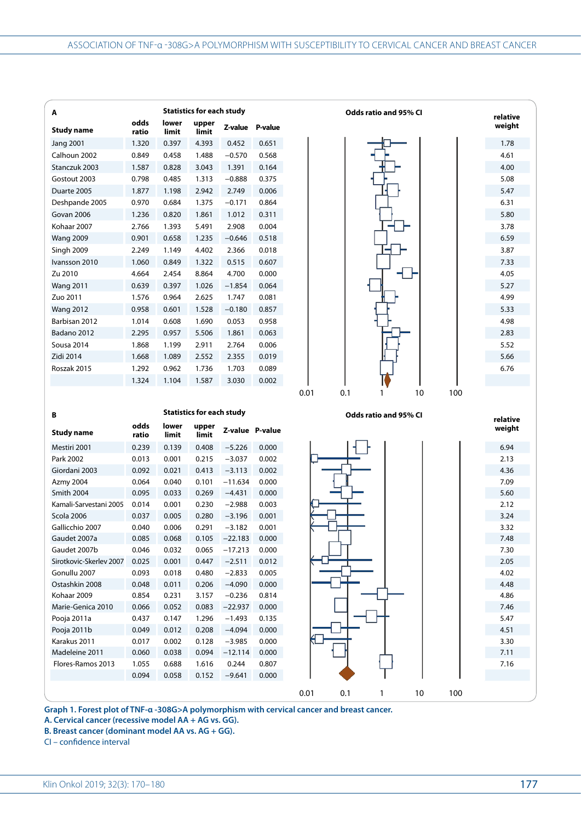| Α                                                                                         |                |                | <b>Statistics for each study</b> |                   |       |
|-------------------------------------------------------------------------------------------|----------------|----------------|----------------------------------|-------------------|-------|
| <b>Study name</b>                                                                         | odds<br>ratio  | lower<br>limit | upper<br>limit                   | Z-value P-value   |       |
| <b>Jang 2001</b>                                                                          | 1.320          | 0.397          | 4.393                            | 0.452             | 0.651 |
| Calhoun 2002                                                                              | 0.849          | 0.458          | 1.488                            | $-0.570$          | 0.568 |
|                                                                                           |                |                |                                  |                   |       |
| Stanczuk 2003                                                                             | 1.587          | 0.828          | 3.043                            | 1.391             | 0.164 |
| Gostout 2003                                                                              | 0.798          | 0.485          | 1.313                            | $-0.888$          | 0.375 |
| Duarte 2005                                                                               | 1.877          | 1.198          | 2.942                            | 2.749             | 0.006 |
| Deshpande 2005                                                                            | 0.970          | 0.684          | 1.375                            | $-0.171$          | 0.864 |
| Govan 2006                                                                                | 1.236          | 0.820          | 1.861                            | 1.012             | 0.311 |
| Kohaar 2007                                                                               | 2.766          | 1.393          | 5.491                            | 2.908             | 0.004 |
| <b>Wang 2009</b>                                                                          | 0.901          | 0.658          | 1.235                            | $-0.646$          | 0.518 |
| Singh 2009                                                                                | 2.249          | 1.149          | 4.402                            | 2.366             | 0.018 |
| Ivansson 2010                                                                             | 1.060          | 0.849          | 1.322                            | 0.515             | 0.607 |
| Zu 2010                                                                                   | 4.664          | 2.454          | 8.864                            | 4.700             | 0.000 |
| <b>Wang 2011</b>                                                                          | 0.639          | 0.397          | 1.026                            | $-1.854$          | 0.064 |
| Zuo 2011                                                                                  | 1.576          | 0.964          | 2.625                            | 1.747             | 0.081 |
| <b>Wang 2012</b>                                                                          | 0.958          | 0.601          | 1.528                            | $-0.180$          | 0.857 |
| Barbisan 2012                                                                             | 1.014          | 0.608          | 1.690                            | 0.053             | 0.958 |
| Badano 2012                                                                               | 2.295          | 0.957          | 5.506                            | 1.861             | 0.063 |
| Sousa 2014                                                                                | 1.868          | 1.199          | 2.911                            | 2.764             | 0.006 |
| Zidi 2014                                                                                 | 1.668          | 1.089          | 2.552                            | 2.355             | 0.019 |
|                                                                                           |                |                |                                  |                   |       |
| Roszak 2015                                                                               | 1.292          | 0.962          | 1.736                            | 1.703             | 0.089 |
|                                                                                           |                |                |                                  |                   |       |
|                                                                                           | 1.324          | 1.104          | 1.587                            | 3.030             | 0.002 |
|                                                                                           |                |                |                                  |                   |       |
|                                                                                           |                |                |                                  |                   |       |
|                                                                                           |                |                | <b>Statistics for each study</b> |                   |       |
| В<br><b>Study name</b>                                                                    | odds<br>ratio  | lower<br>limit | upper<br>limit                   | Z-value P-value   |       |
| Mestiri 2001                                                                              | 0.239          | 0.139          | 0.408                            | $-5.226$          | 0.000 |
| Park 2002                                                                                 | 0.013          | 0.001          | 0.215                            |                   |       |
|                                                                                           | 0.092          | 0.021          | 0.413                            | $-3.037$          | 0.002 |
| Giordani 2003                                                                             | 0.064          |                |                                  | $-3.113$          | 0.002 |
| <b>Azmy 2004</b>                                                                          |                | 0.040          | 0.101                            | $-11.634$         | 0.000 |
| Smith 2004                                                                                | 0.095          | 0.033          | 0.269                            | $-4.431$          | 0.000 |
| Kamali-Sarvestani 2005                                                                    | 0.014          | 0.001          | 0.230                            | $-2.988$          | 0.003 |
| Scola 2006                                                                                | 0.037          | 0.005          | 0.280                            | $-3.196$          | 0.001 |
| Gallicchio 2007                                                                           | 0.040          | 0.006          | 0.291                            | $-3.182$          | 0.001 |
|                                                                                           | 0.085          | 0.068          | 0.105                            | $-22.183$         | 0.000 |
|                                                                                           | 0.046          | 0.032          | 0.065                            | $-17.213$         | 0.000 |
|                                                                                           | 0.025          | 0.001          | 0.447                            | $-2.511$          | 0.012 |
|                                                                                           | 0.093          | 0.018          | 0.480                            | $-2.833$          | 0.005 |
| Gaudet 2007a<br>Gaudet 2007b<br>Sirotkovic-Skerlev 2007<br>Gonullu 2007<br>Ostashkin 2008 | 0.048          | 0.011          | 0.206                            | $-4.090$          | 0.000 |
| Kohaar 2009                                                                               | 0.854          | 0.231          | 3.157                            | $-0.236$          | 0.814 |
| Marie-Genica 2010                                                                         | 0.066          | 0.052          | 0.083                            | $-22.937$         | 0.000 |
| Pooja 2011a                                                                               | 0.437          | 0.147          | 1.296                            | $-1.493$          | 0.135 |
| Pooja 2011b                                                                               | 0.049          | 0.012          | 0.208                            | $-4.094$          | 0.000 |
| Karakus 2011                                                                              | 0.017          | 0.002          | 0.128                            | $-3.985$          | 0.000 |
| Madeleine 2011                                                                            | 0.060          | 0.038          | 0.094                            | $-12.114$         | 0.000 |
| Flores-Ramos 2013                                                                         | 1.055<br>0.094 | 0.688<br>0.058 | 1.616                            | 0.244<br>$-9.641$ | 0.807 |

0.01 0.1 1 10 100

**Graph 1. Forest plot of TNF-α -308G>A polymorphism with cervical cancer and breast cancer.** 

**A. Cervical cancer (recessive model AA + AG vs. GG).**

**B. Breast cancer (dominant model AA vs. AG + GG).**

CI – confidence interval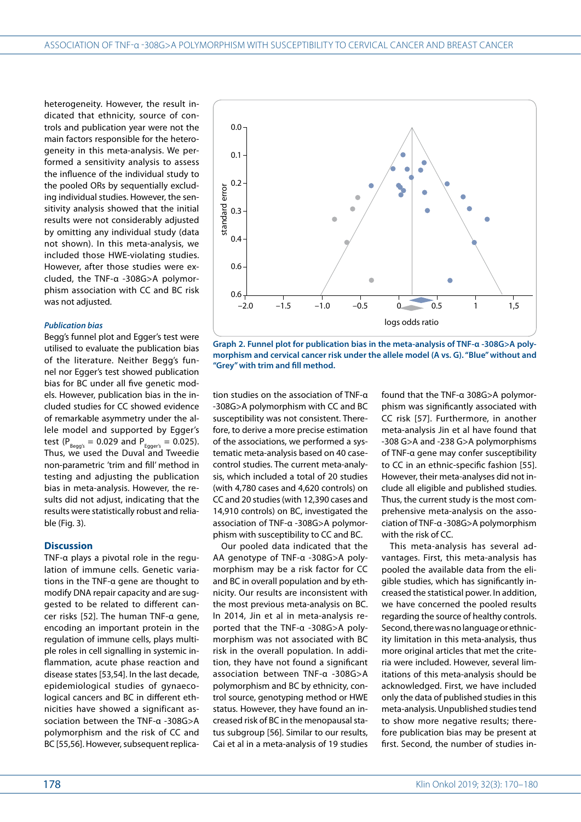heterogeneity. However, the result indicated that ethnicity, source of controls and publication year were not the main factors responsible for the heterogeneity in this meta-analysis. We performed a sensitivity analysis to assess the influence of the individual study to the pooled ORs by sequentially excluding individual studies. However, the sensitivity analysis showed that the initial results were not considerably adjusted by omitting any individual study (data not shown). In this meta-analysis, we included those HWE-violating studies. However, after those studies were excluded, the TNF-α -308G>A polymorphism association with CC and BC risk was not adjusted.

### *Publication bias*

Begg's funnel plot and Egger's test were utilised to evaluate the publication bias of the literature. Neither Begg's funnel nor Egger's test showed publication bias for BC under all five genetic models. However, publication bias in the included studies for CC showed evidence of remarkable asymmetry under the allele model and supported by Egger's test ( $P_{\text{Begg's}} = 0.029$  and  $P_{\text{Egger's}} = 0.025$ ). Thus, we used the Duval and Tweedie non-parametric 'trim and fill' method in testing and adjusting the publication bias in meta-analysis. However, the results did not adjust, indicating that the results were statistically robust and reliable (Fig. 3).

#### **Discussion**

TNF-α plays a pivotal role in the regulation of immune cells. Genetic variations in the TNF-α gene are thought to modify DNA repair capacity and are suggested to be related to different cancer risks [52]. The human TNF-α gene, encoding an important protein in the regulation of immune cells, plays multiple roles in cell signalling in systemic inflammation, acute phase reaction and disease states [53,54]. In the last decade, epidemiological studies of gynaecological cancers and BC in different ethnicities have showed a significant association between the TNF-α -308G>A polymorphism and the risk of CC and BC [55,56]. However, subsequent replica-



**Graph 2. Funnel plot for publication bias in the meta-analysis of TNF-α -308G>A polymorphism and cervical cancer risk under the allele model (A vs. G). "Blue" without and "Grey" with trim and fill method.**

tion studies on the association of TNF-α -308G>A polymorphism with CC and BC susceptibility was not consistent. Therefore, to derive a more precise estimation of the associations, we performed a systematic meta-analysis based on 40 casecontrol studies. The current meta-analysis, which included a total of 20 studies (with 4,780 cases and 4,620 controls) on CC and 20 studies (with 12,390 cases and 14,910 controls) on BC, investigated the association of TNF-α -308G>A polymorphism with susceptibility to CC and BC.

Our pooled data indicated that the AA genotype of TNF-α -308G>A polymorphism may be a risk factor for CC and BC in overall population and by ethnicity. Our results are inconsistent with the most previous meta-analysis on BC. In 2014, Jin et al in meta-analysis reported that the TNF-α -308G>A polymorphism was not associated with BC risk in the overall population. In addition, they have not found a significant association between TNF-α -308G>A polymorphism and BC by ethnicity, control source, genotyping method or HWE status. However, they have found an increased risk of BC in the menopausal status subgroup [56]. Similar to our results, Cai et al in a meta-analysis of 19 studies

found that the TNF-α 308G>A polymorphism was significantly associated with CC risk [57]. Furthermore, in another meta-analysis Jin et al have found that -308 G>A and -238 G>A polymorphisms of TNF-α gene may confer susceptibility to CC in an ethnic-specific fashion [55]. However, their meta-analyses did not include all eligible and published studies. Thus, the current study is the most comprehensive meta-analysis on the association of TNF-α -308G>A polymorphism with the risk of CC.

This meta-analysis has several advantages. First, this meta-analysis has pooled the available data from the eligible studies, which has significantly increased the statistical power. In addition, we have concerned the pooled results regarding the source of healthy controls. Second, there was no language or ethnicity limitation in this meta-analysis, thus more original articles that met the criteria were included. However, several limitations of this meta-analysis should be acknowledged. First, we have included only the data of published studies in this meta-analysis. Unpublished studies tend to show more negative results; therefore publication bias may be present at first. Second, the number of studies in-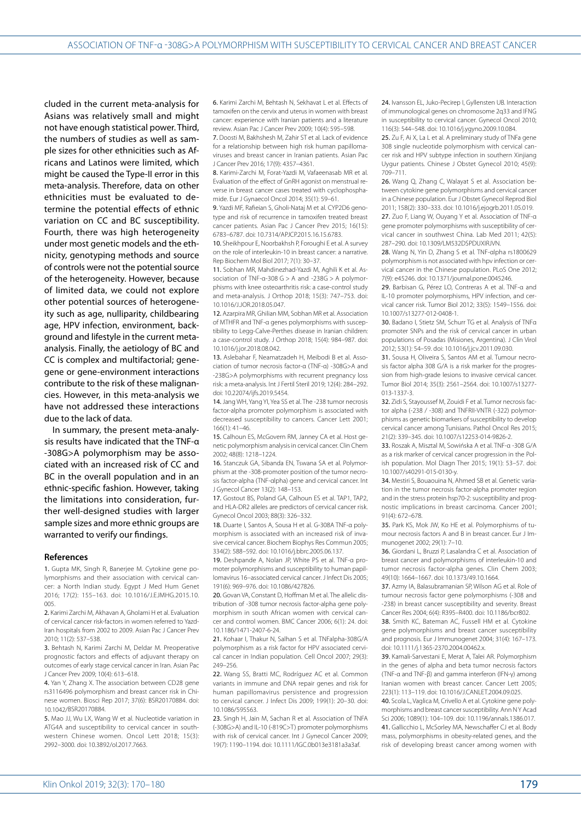cluded in the current meta-analysis for Asians was relatively small and might not have enough statistical power. Third, the numbers of studies as well as sample sizes for other ethnicities such as Africans and Latinos were limited, which might be caused the Type-II error in this meta-analysis. Therefore, data on other ethnicities must be evaluated to determine the potential effects of ethnic variation on CC and BC susceptibility. Fourth, there was high heterogeneity under most genetic models and the ethnicity, genotyping methods and source of controls were not the potential source of the heterogeneity. However, because of limited data, we could not explore other potential sources of heterogeneity such as age, nulliparity, childbearing age, HPV infection, environment, background and lifestyle in the current metaanalysis. Finally, the aetiology of BC and CC is complex and multifactorial; genegene or gene-environment interactions contribute to the risk of these malignancies. However, in this meta-analysis we have not addressed these interactions due to the lack of data.

In summary, the present meta-analysis results have indicated that the TNF-α -308G>A polymorphism may be associated with an increased risk of CC and BC in the overall population and in an ethnic-specific fashion. However, taking the limitations into consideration, further well-designed studies with larger sample sizes and more ethnic groups are warranted to verify our findings.

#### **References**

1. Gupta MK, Singh R, Banerjee M. Cytokine gene polymorphisms and their association with cervical cancer: a North Indian study. Egypt J Med Hum Genet 2016; 17(2): 155–163. doi: 10.1016/J.EJMHG.2015.10. 005.

2. Karimi Zarchi M, Akhavan A, Gholami H et al. Evaluation of cervical cancer risk-factors in women referred to Yazd-Iran hospitals from 2002 to 2009. Asian Pac J Cancer Prev 2010; 11(2): 537–538.

3. Behtash N, Karimi Zarchi M, Deldar M. Preoperative prognostic factors and effects of adjuvant therapy on outcomes of early stage cervical cancer in Iran. Asian Pac J Cancer Prev 2009; 10(4): 613–618.

4. Yan Y, Zhang X. The association between CD28 gene rs3116496 polymorphism and breast cancer risk in Chinese women. Biosci Rep 2017; 37(6): BSR20170884. doi: 10.1042/BSR20170884.

5. Mao JJ, Wu LX, Wang W et al. Nucleotide variation in ATG4A and susceptibility to cervical cancer in southwestern Chinese women. Oncol Lett 2018; 15(3): 2992–3000. doi: 10.3892/ol.2017.7663.

6. Karimi Zarchi M, Behtash N, Sekhavat L et al. Effects of tamoxifen on the cervix and uterus in women with breast cancer: experience with Iranian patients and a literature review. Asian Pac J Cancer Prev 2009; 10(4): 595–598.

7. Doosti M, Bakhshesh M, Zahir ST et al. Lack of evidence for a relationship between high risk human papillomaviruses and breast cancer in Iranian patients. Asian Pac J Cancer Prev 2016; 17(9): 4357–4361.

8. Karimi-Zarchi M, Forat-Yazdi M, Vafaeenasab MR et al. Evaluation of the effect of GnRH agonist on menstrual reverse in breast cancer cases treated with cyclophosphamide. Eur J Gynaecol Oncol 2014; 35(1): 59–61.

9. Yazdi MF, Rafieian S, Gholi-Nataj M et al. CYP2D6 genotype and risk of recurrence in tamoxifen treated breast cancer patients. Asian Pac J Cancer Prev 2015; 16(15): 6783–6787. doi: 10.7314/APJCP.2015.16.15.6783.

10. Sheikhpour E, Noorbakhsh P, Foroughi E et al. A survey on the role of interleukin-10 in breast cancer: a narrative. Rep Biochem Mol Biol 2017; 7(1): 30–37.

11. Sobhan MR, Mahdinezhad-Yazdi M, Aghili K et al. Association of TNF-α-308 G > A and -238G > A polymorphisms with knee osteoarthritis risk: a case-control study and meta-analysis. J Orthop 2018; 15(3): 747–753. doi: 10.1016/J.JOR.2018.05.047.

12. Azarpira MR, Ghilian MM, Sobhan MR et al. Association of MTHFR and TNF-α genes polymorphisms with susceptibility to Legg-Calve-Perthes disease in Iranian children: a case-control study. J Orthop 2018; 15(4): 984–987. doi: 10.1016/j.jor.2018.08.042.

13. Aslebahar F, Neamatzadeh H, Meibodi B et al. Association of tumor necrosis factor-α (TNF-α) -308G>A and -238G>A polymorphisms with recurrent pregnancy loss risk: a meta-analysis. Int J Fertil Steril 2019; 12(4): 284–292. doi: 10.22074/ijfs.2019.5454.

14. Jang WH, Yang YI, Yea SS et al. The -238 tumor necrosis factor-alpha promoter polymorphism is associated with decreased susceptibility to cancers. Cancer Lett 2001; 166(1): 41–46.

15. Calhoun ES, McGovern RM, Janney CA et al. Host genetic polymorphism analysis in cervical cancer. Clin Chem 2002; 48(8): 1218–1224.

16. Stanczuk GA, Sibanda EN, Tswana SA et al. Polymorphism at the -308-promoter position of the tumor necrosis factor-alpha (TNF-αlpha) gene and cervical cancer. Int J Gynecol Cancer 13(2): 148–153.

17. Gostout BS, Poland GA, Calhoun ES et al. TAP1, TAP2, and HLA-DR2 alleles are predictors of cervical cancer risk. Gynecol Oncol 2003; 88(3): 326–332.

18. Duarte I, Santos A, Sousa H et al. G-308A TNE-α polymorphism is associated with an increased risk of invasive cervical cancer. Biochem Biophys Res Commun 2005; 334(2): 588–592. doi: 10.1016/j.bbrc.2005.06.137.

19. Deshpande A, Nolan JP, White PS et al. TNF-α promoter polymorphisms and susceptibility to human papillomavirus 16–associated cervical cancer. J Infect Dis 2005; 191(6): 969–976. doi: 10.1086/427826.

20. Govan VA, Constant D, Hoffman M et al. The allelic distribution of -308 tumor necrosis factor-alpha gene polymorphism in south African women with cervical cancer and control women. BMC Cancer 2006; 6(1): 24. doi: 10.1186/1471-2407-6-24.

21. Kohaar I, Thakur N, Salhan S et al. TNFalpha-308G/A polymorphism as a risk factor for HPV associated cervical cancer in Indian population. Cell Oncol 2007; 29(3): 249–256.

22. Wang SS, Bratti MC, Rodríguez AC et al. Common variants in immune and DNA repair genes and risk for human papillomavirus persistence and progression to cervical cancer. J Infect Dis 2009; 199(1): 20–30. doi: 10.1086/595563.

23. Singh H, Jain M, Sachan R et al. Association of TNFA (-308G>A) and IL-10 (-819C>T) promoter polymorphisms with risk of cervical cancer. Int J Gynecol Cancer 2009; 19(7): 1190–1194. doi: 10.1111/IGC.0b013e3181a3a3af.

24. Ivansson EL, Juko-Pecirep I, Gyllensten UB. Interaction of immunological genes on chromosome 2q33 and IFNG in susceptibility to cervical cancer. Gynecol Oncol 2010; 116(3): 544–548. doi: 10.1016/j.ygyno.2009.10.084.

25. Zu F, Ai X, La L et al. A preliminary study of TNFa gene 308 single nucleotide polymorphism with cervical cancer risk and HPV subtype infection in southern Xinjiang Uygur patients. Chinese J Obstet Gynecol 2010; 45(9): 709–711.

26. Wang Q, Zhang C, Walayat S et al. Association between cytokine gene polymorphisms and cervical cancer in a Chinese population. Eur J Obstet Gynecol Reprod Biol 2011; 158(2): 330–333. doi: 10.1016/j.ejogrb.2011.05.019.

27. Zuo F, Liang W, Ouyang Y et al. Association of TNF-α gene promoter polymorphisms with susceptibility of cervical cancer in southwest China. Lab Med 2011; 42(5): 287–290. doi: 10.1309/LM532DSPDUXIRJVN.

28. Wang N, Yin D, Zhang S et al. TNF-αlpha rs1800629 polymorphism is not associated with hpv infection or cervical cancer in the Chinese population. PLoS One 2012; 7(9): e45246. doi: 10.1371/journal.pone.0045246.

29. Barbisan G, Pérez LO, Contreras A et al. TNF-α and IL-10 promoter polymorphisms, HPV infection, and cervical cancer risk. Tumor Biol 2012; 33(5): 1549–1556. doi: 10.1007/s13277-012-0408-1.

30. Badano I, Stietz SM, Schurr TG et al. Analysis of TNFα promoter SNPs and the risk of cervical cancer in urban populations of Posadas (Misiones, Argentina). J Clin Virol 2012; 53(1): 54–59. doi: 10.1016/j.jcv.2011.09.030.

31. Sousa H, Oliveira S, Santos AM et al. Tumour necrosis factor alpha 308 G/A is a risk marker for the progression from high-grade lesions to invasive cervical cancer. Tumor Biol 2014; 35(3): 2561–2564. doi: 10.1007/s13277- 013-1337-3.

32. Zidi S, Stayoussef M, Zouidi F et al. Tumor necrosis factor alpha (-238 / -308) and TNFRII-VNTR (-322) polymorphisms as genetic biomarkers of susceptibility to develop cervical cancer among Tunisians. Pathol Oncol Res 2015; 21(2): 339–345. doi: 10.1007/s12253-014-9826-2.

33. Roszak A, Misztal M, Sowińska A et al. TNF-α -308 G/A as a risk marker of cervical cancer progression in the Polish population. Mol Diagn Ther 2015; 19(1): 53–57. doi: 10.1007/s40291-015-0130-y.

34. Mestiri S, Bouaouina N, Ahmed SB et al. Genetic variation in the tumor necrosis factor-alpha promoter region and in the stress protein hsp70-2: susceptibility and prognostic implications in breast carcinoma. Cancer 2001; 91(4): 672–678.

35. Park KS, Mok JW, Ko HE et al. Polymorphisms of tumour necrosis factors A and B in breast cancer. Eur J Immunogenet 2002; 29(1): 7–10.

36. Giordani L, Bruzzi P, Lasalandra C et al. Association of breast cancer and polymorphisms of interleukin-10 and tumor necrosis factor-alpha genes. Clin Chem 2003; 49(10): 1664–1667. doi: 10.1373/49.10.1664.

37. Azmy IA, Balasubramanian SP, Wilson AG et al. Role of tumour necrosis factor gene polymorphisms (-308 and -238) in breast cancer susceptibility and severity. Breast Cancer Res 2004; 6(4): R395–R400. doi: 10.1186/bcr802.

38. Smith KC, Bateman AC, Fussell HM et al. Cytokine gene polymorphisms and breast cancer susceptibility and prognosis. Eur J Immunogenet 2004; 31(4): 167–173. doi: 10.1111/j.1365-2370.2004.00462.x.

39. Kamali-Sarvestani E, Merat A, Talei AR. Polymorphism in the genes of alpha and beta tumor necrosis factors (TNF-α and TNF-β) and gamma interferon (IFN-γ) among Iranian women with breast cancer. Cancer Lett 2005; 223(1): 113–119. doi: 10.1016/J.CANLET.2004.09.025.

40. Scola L, Vaglica M, Crivello A et al. Cytokine gene polymorphisms and breast cancer susceptibility. Ann N Y Acad Sci 2006; 1089(1): 104–109. doi: 10.1196/annals.1386.017. 41. Gallicchio L, McSorley MA, Newschaffer CJ et al. Body mass, polymorphisms in obesity-related genes, and the risk of developing breast cancer among women with